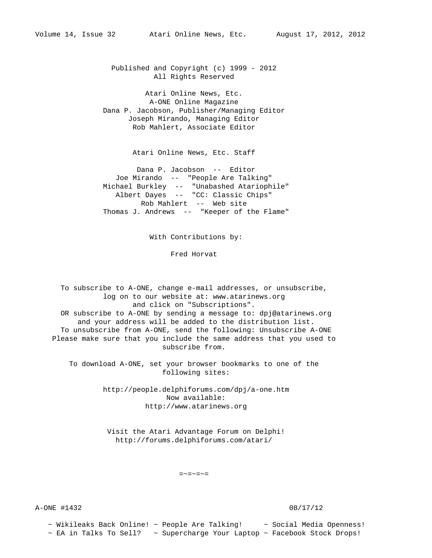Published and Copyright (c) 1999 - 2012 All Rights Reserved

 Atari Online News, Etc. A-ONE Online Magazine Dana P. Jacobson, Publisher/Managing Editor Joseph Mirando, Managing Editor Rob Mahlert, Associate Editor

Atari Online News, Etc. Staff

 Dana P. Jacobson -- Editor Joe Mirando -- "People Are Talking" Michael Burkley -- "Unabashed Atariophile" Albert Dayes -- "CC: Classic Chips" Rob Mahlert -- Web site Thomas J. Andrews -- "Keeper of the Flame"

With Contributions by:

Fred Horvat

 To subscribe to A-ONE, change e-mail addresses, or unsubscribe, log on to our website at: www.atarinews.org and click on "Subscriptions". OR subscribe to A-ONE by sending a message to: dpj@atarinews.org and your address will be added to the distribution list. To unsubscribe from A-ONE, send the following: Unsubscribe A-ONE Please make sure that you include the same address that you used to subscribe from.

 To download A-ONE, set your browser bookmarks to one of the following sites:

> http://people.delphiforums.com/dpj/a-one.htm Now available: http://www.atarinews.org

 Visit the Atari Advantage Forum on Delphi! http://forums.delphiforums.com/atari/

 $=$   $\sim$   $=$   $\sim$   $=$   $\sim$   $=$ 

A-ONE #1432 08/17/12

 $\sim$  Wikileaks Back Online!  $\sim$  People Are Talking!  $\sim$  Social Media Openness!  $~\sim$  EA in Talks To Sell?  $~\sim$  Supercharge Your Laptop  $~\sim$  Facebook Stock Drops!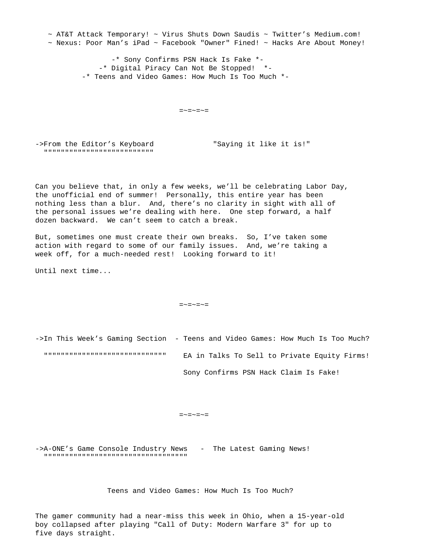$~\sim$  AT&T Attack Temporary!  $~\sim$  Virus Shuts Down Saudis  $~\sim$  Twitter's Medium.com!  $\sim$  Nexus: Poor Man's iPad  $\sim$  Facebook "Owner" Fined!  $\sim$  Hacks Are About Money! -\* Sony Confirms PSN Hack Is Fake \*- -\* Digital Piracy Can Not Be Stopped! \*- -\* Teens and Video Games: How Much Is Too Much \*-

=~=~=~=

->From the Editor's Keyboard "Saying it like it is!" """"""""""""""""""""""""""

Can you believe that, in only a few weeks, we'll be celebrating Labor Day, the unofficial end of summer! Personally, this entire year has been nothing less than a blur. And, there's no clarity in sight with all of the personal issues we're dealing with here. One step forward, a half dozen backward. We can't seem to catch a break.

But, sometimes one must create their own breaks. So, I've taken some action with regard to some of our family issues. And, we're taking a week off, for a much-needed rest! Looking forward to it!

Until next time...

 $=$   $\sim$   $=$   $\sim$   $=$   $\sim$   $=$ 

->In This Week's Gaming Section - Teens and Video Games: How Much Is Too Much? """"""""""""""""""""""""""""" EA in Talks To Sell to Private Equity Firms! Sony Confirms PSN Hack Claim Is Fake!

 $=$   $\sim$   $=$   $\sim$   $=$   $\sim$   $=$ 

->A-ONE's Game Console Industry News - The Latest Gaming News! """"""""""""""""""""""""""""""""""

Teens and Video Games: How Much Is Too Much?

The gamer community had a near-miss this week in Ohio, when a 15-year-old boy collapsed after playing "Call of Duty: Modern Warfare 3" for up to five days straight.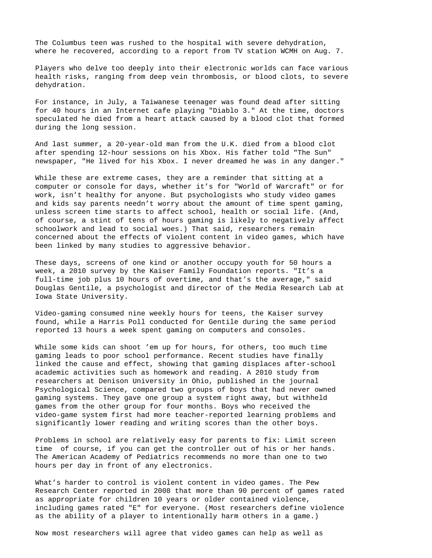The Columbus teen was rushed to the hospital with severe dehydration, where he recovered, according to a report from TV station WCMH on Aug. 7.

Players who delve too deeply into their electronic worlds can face various health risks, ranging from deep vein thrombosis, or blood clots, to severe dehydration.

For instance, in July, a Taiwanese teenager was found dead after sitting for 40 hours in an Internet cafe playing "Diablo 3." At the time, doctors speculated he died from a heart attack caused by a blood clot that formed during the long session.

And last summer, a 20-year-old man from the U.K. died from a blood clot after spending 12-hour sessions on his Xbox. His father told "The Sun" newspaper, "He lived for his Xbox. I never dreamed he was in any danger."

While these are extreme cases, they are a reminder that sitting at a computer or console for days, whether it's for "World of Warcraft" or for work, isn't healthy for anyone. But psychologists who study video games and kids say parents needn't worry about the amount of time spent gaming, unless screen time starts to affect school, health or social life. (And, of course, a stint of tens of hours gaming is likely to negatively affect schoolwork and lead to social woes.) That said, researchers remain concerned about the effects of violent content in video games, which have been linked by many studies to aggressive behavior.

These days, screens of one kind or another occupy youth for 50 hours a week, a 2010 survey by the Kaiser Family Foundation reports. "It's a full-time job plus 10 hours of overtime, and that's the average," said Douglas Gentile, a psychologist and director of the Media Research Lab at Iowa State University.

Video-gaming consumed nine weekly hours for teens, the Kaiser survey found, while a Harris Poll conducted for Gentile during the same period reported 13 hours a week spent gaming on computers and consoles.

While some kids can shoot 'em up for hours, for others, too much time gaming leads to poor school performance. Recent studies have finally linked the cause and effect, showing that gaming displaces after-school academic activities such as homework and reading. A 2010 study from researchers at Denison University in Ohio, published in the journal Psychological Science, compared two groups of boys that had never owned gaming systems. They gave one group a system right away, but withheld games from the other group for four months. Boys who received the video-game system first had more teacher-reported learning problems and significantly lower reading and writing scores than the other boys.

Problems in school are relatively easy for parents to fix: Limit screen time of course, if you can get the controller out of his or her hands. The American Academy of Pediatrics recommends no more than one to two hours per day in front of any electronics.

What's harder to control is violent content in video games. The Pew Research Center reported in 2008 that more than 90 percent of games rated as appropriate for children 10 years or older contained violence, including games rated "E" for everyone. (Most researchers define violence as the ability of a player to intentionally harm others in a game.)

Now most researchers will agree that video games can help as well as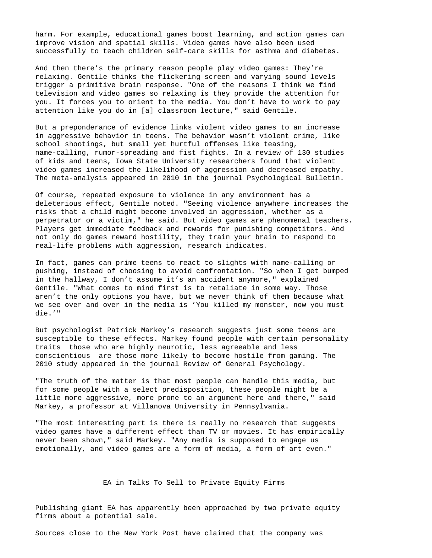harm. For example, educational games boost learning, and action games can improve vision and spatial skills. Video games have also been used successfully to teach children self-care skills for asthma and diabetes.

And then there's the primary reason people play video games: They're relaxing. Gentile thinks the flickering screen and varying sound levels trigger a primitive brain response. "One of the reasons I think we find television and video games so relaxing is they provide the attention for you. It forces you to orient to the media. You don't have to work to pay attention like you do in [a] classroom lecture," said Gentile.

But a preponderance of evidence links violent video games to an increase in aggressive behavior in teens. The behavior wasn't violent crime, like school shootings, but small yet hurtful offenses like teasing, name-calling, rumor-spreading and fist fights. In a review of 130 studies of kids and teens, Iowa State University researchers found that violent video games increased the likelihood of aggression and decreased empathy. The meta-analysis appeared in 2010 in the journal Psychological Bulletin.

Of course, repeated exposure to violence in any environment has a deleterious effect, Gentile noted. "Seeing violence anywhere increases the risks that a child might become involved in aggression, whether as a perpetrator or a victim," he said. But video games are phenomenal teachers. Players get immediate feedback and rewards for punishing competitors. And not only do games reward hostility, they train your brain to respond to real-life problems with aggression, research indicates.

In fact, games can prime teens to react to slights with name-calling or pushing, instead of choosing to avoid confrontation. "So when I get bumped in the hallway, I don't assume it's an accident anymore," explained Gentile. "What comes to mind first is to retaliate in some way. Those aren't the only options you have, but we never think of them because what we see over and over in the media is 'You killed my monster, now you must die.'"

But psychologist Patrick Markey's research suggests just some teens are susceptible to these effects. Markey found people with certain personality traits those who are highly neurotic, less agreeable and less conscientious are those more likely to become hostile from gaming. The 2010 study appeared in the journal Review of General Psychology.

"The truth of the matter is that most people can handle this media, but for some people with a select predisposition, these people might be a little more aggressive, more prone to an argument here and there," said Markey, a professor at Villanova University in Pennsylvania.

"The most interesting part is there is really no research that suggests video games have a different effect than TV or movies. It has empirically never been shown," said Markey. "Any media is supposed to engage us emotionally, and video games are a form of media, a form of art even."

# EA in Talks To Sell to Private Equity Firms

Publishing giant EA has apparently been approached by two private equity firms about a potential sale.

Sources close to the New York Post have claimed that the company was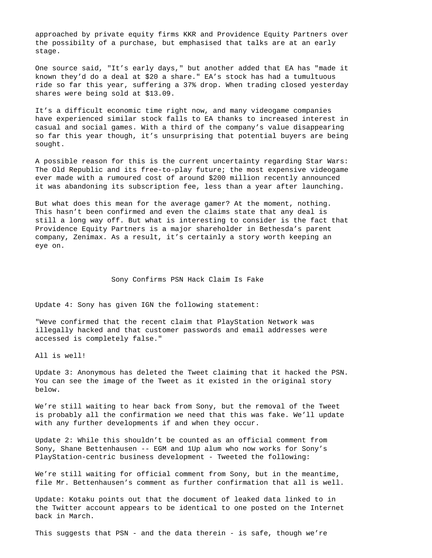approached by private equity firms KKR and Providence Equity Partners over the possibilty of a purchase, but emphasised that talks are at an early stage.

One source said, "It's early days," but another added that EA has "made it known they'd do a deal at \$20 a share." EA's stock has had a tumultuous ride so far this year, suffering a 37% drop. When trading closed yesterday shares were being sold at \$13.09.

It's a difficult economic time right now, and many videogame companies have experienced similar stock falls to EA thanks to increased interest in casual and social games. With a third of the company's value disappearing so far this year though, it's unsurprising that potential buyers are being sought.

A possible reason for this is the current uncertainty regarding Star Wars: The Old Republic and its free-to-play future; the most expensive videogame ever made with a rumoured cost of around \$200 million recently announced it was abandoning its subscription fee, less than a year after launching.

But what does this mean for the average gamer? At the moment, nothing. This hasn't been confirmed and even the claims state that any deal is still a long way off. But what is interesting to consider is the fact that Providence Equity Partners is a major shareholder in Bethesda's parent company, Zenimax. As a result, it's certainly a story worth keeping an eye on.

### Sony Confirms PSN Hack Claim Is Fake

Update 4: Sony has given IGN the following statement:

"We ve confirmed that the recent claim that PlayStation Network was illegally hacked and that customer passwords and email addresses were accessed is completely false."

All is well!

Update 3: Anonymous has deleted the Tweet claiming that it hacked the PSN. You can see the image of the Tweet as it existed in the original story below.

We're still waiting to hear back from Sony, but the removal of the Tweet is probably all the confirmation we need that this was fake. We'll update with any further developments if and when they occur.

Update 2: While this shouldn't be counted as an official comment from Sony, Shane Bettenhausen -- EGM and 1Up alum who now works for Sony's PlayStation-centric business development - Tweeted the following:

We're still waiting for official comment from Sony, but in the meantime, file Mr. Bettenhausen's comment as further confirmation that all is well.

Update: Kotaku points out that the document of leaked data linked to in the Twitter account appears to be identical to one posted on the Internet back in March.

This suggests that PSN - and the data therein - is safe, though we're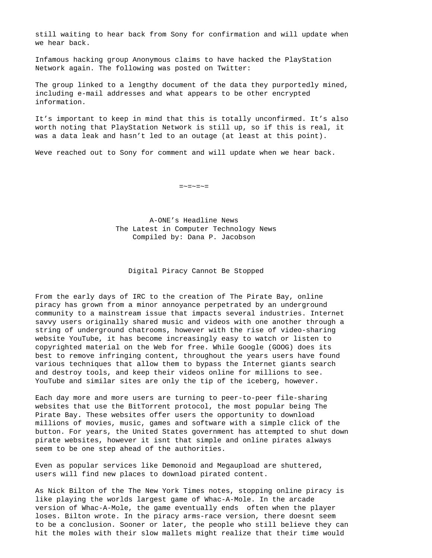still waiting to hear back from Sony for confirmation and will update when we hear back.

Infamous hacking group Anonymous claims to have hacked the PlayStation Network again. The following was posted on Twitter:

The group linked to a lengthy document of the data they purportedly mined, including e-mail addresses and what appears to be other encrypted information.

It's important to keep in mind that this is totally unconfirmed. It's also worth noting that PlayStation Network is still up, so if this is real, it was a data leak and hasn't led to an outage (at least at this point).

We ve reached out to Sony for comment and will update when we hear back.

 $=$   $\sim$   $=$   $\sim$   $=$ 

 A-ONE's Headline News The Latest in Computer Technology News Compiled by: Dana P. Jacobson

#### Digital Piracy Cannot Be Stopped

From the early days of IRC to the creation of The Pirate Bay, online piracy has grown from a minor annoyance perpetrated by an underground community to a mainstream issue that impacts several industries. Internet savvy users originally shared music and videos with one another through a string of underground chatrooms, however with the rise of video-sharing website YouTube, it has become increasingly easy to watch or listen to copyrighted material on the Web for free. While Google (GOOG) does its best to remove infringing content, throughout the years users have found various techniques that allow them to bypass the Internet giant s search and destroy tools, and keep their videos online for millions to see. YouTube and similar sites are only the tip of the iceberg, however.

Each day more and more users are turning to peer-to-peer file-sharing websites that use the BitTorrent protocol, the most popular being The Pirate Bay. These websites offer users the opportunity to download millions of movies, music, games and software with a simple click of the button. For years, the United States government has attempted to shut down pirate websites, however it isnt that simple and online pirates always seem to be one step ahead of the authorities.

Even as popular services like Demonoid and Megaupload are shuttered, users will find new places to download pirated content.

As Nick Bilton of the The New York Times notes, stopping online piracy is like playing the world s largest game of Whac-A-Mole. In the arcade version of Whac-A-Mole, the game eventually ends often when the player loses. Bilton wrote. In the piracy arms-race version, there doesn t seem to be a conclusion. Sooner or later, the people who still believe they can hit the moles with their slow mallets might realize that their time would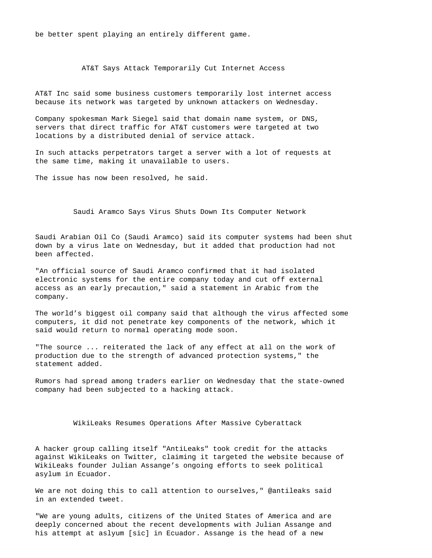be better spent playing an entirely different game.

AT&T Says Attack Temporarily Cut Internet Access

AT&T Inc said some business customers temporarily lost internet access because its network was targeted by unknown attackers on Wednesday.

Company spokesman Mark Siegel said that domain name system, or DNS, servers that direct traffic for AT&T customers were targeted at two locations by a distributed denial of service attack.

In such attacks perpetrators target a server with a lot of requests at the same time, making it unavailable to users.

The issue has now been resolved, he said.

Saudi Aramco Says Virus Shuts Down Its Computer Network

Saudi Arabian Oil Co (Saudi Aramco) said its computer systems had been shut down by a virus late on Wednesday, but it added that production had not been affected.

"An official source of Saudi Aramco confirmed that it had isolated electronic systems for the entire company today and cut off external access as an early precaution," said a statement in Arabic from the company.

The world's biggest oil company said that although the virus affected some computers, it did not penetrate key components of the network, which it said would return to normal operating mode soon.

"The source ... reiterated the lack of any effect at all on the work of production due to the strength of advanced protection systems," the statement added.

Rumors had spread among traders earlier on Wednesday that the state-owned company had been subjected to a hacking attack.

WikiLeaks Resumes Operations After Massive Cyberattack

A hacker group calling itself "AntiLeaks" took credit for the attacks against WikiLeaks on Twitter, claiming it targeted the website because of WikiLeaks founder Julian Assange's ongoing efforts to seek political asylum in Ecuador.

We are not doing this to call attention to ourselves," @antileaks said in an extended tweet.

"We are young adults, citizens of the United States of America and are deeply concerned about the recent developments with Julian Assange and his attempt at aslyum [sic] in Ecuador. Assange is the head of a new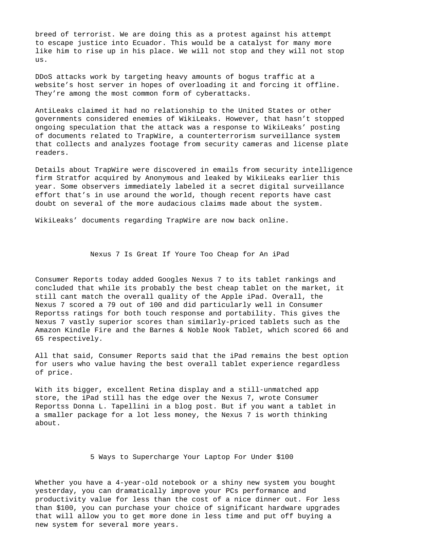breed of terrorist. We are doing this as a protest against his attempt to escape justice into Ecuador. This would be a catalyst for many more like him to rise up in his place. We will not stop and they will not stop us.

DDoS attacks work by targeting heavy amounts of bogus traffic at a website's host server in hopes of overloading it and forcing it offline. They're among the most common form of cyberattacks.

AntiLeaks claimed it had no relationship to the United States or other governments considered enemies of WikiLeaks. However, that hasn't stopped ongoing speculation that the attack was a response to WikiLeaks' posting of documents related to TrapWire, a counterterrorism surveillance system that collects and analyzes footage from security cameras and license plate readers.

Details about TrapWire were discovered in emails from security intelligence firm Stratfor acquired by Anonymous and leaked by WikiLeaks earlier this year. Some observers immediately labeled it a secret digital surveillance effort that's in use around the world, though recent reports have cast doubt on several of the more audacious claims made about the system.

WikiLeaks' documents regarding TrapWire are now back online.

Nexus 7 Is Great If You re Too Cheap for An iPad

Consumer Reports today added Googles Nexus 7 to its tablet rankings and concluded that while its probably the best cheap tablet on the market, it still can t match the overall quality of the Apple iPad. Overall, the Nexus 7 scored a 79 out of 100 and did particularly well in Consumer Reportss ratings for both touch response and portability. This gives the Nexus 7 vastly superior scores than similarly-priced tablets such as the Amazon Kindle Fire and the Barnes & Noble Nook Tablet, which scored 66 and 65 respectively.

All that said, Consumer Reports said that the iPad remains the best option for users who value having the best overall tablet experience regardless of price.

With its bigger, excellent Retina display and a still-unmatched app store, the iPad still has the edge over the Nexus 7, wrote Consumer Reportss Donna L. Tapellini in a blog post. But if you want a tablet in a smaller package for a lot less money, the Nexus 7 is worth thinking about.

5 Ways to Supercharge Your Laptop For Under \$100

Whether you have a 4-year-old notebook or a shiny new system you bought yesterday, you can dramatically improve your PC s performance and productivity value for less than the cost of a nice dinner out. For less than \$100, you can purchase your choice of significant hardware upgrades that will allow you to get more done in less time and put off buying a new system for several more years.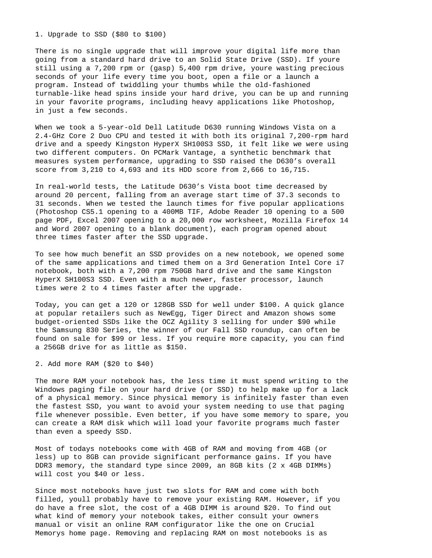1. Upgrade to SSD (\$80 to \$100)

There is no single upgrade that will improve your digital life more than going from a standard hard drive to an Solid State Drive (SSD). If youre still using a 7,200 rpm or (gasp) 5,400 rpm drive, youre wasting precious seconds of your life every time you boot, open a file or a launch a program. Instead of twiddling your thumbs while the old-fashioned turnable-like head spins inside your hard drive, you can be up and running in your favorite programs, including heavy applications like Photoshop, in just a few seconds.

When we took a 5-year-old Dell Latitude D630 running Windows Vista on a 2.4-GHz Core 2 Duo CPU and tested it with both its original 7,200-rpm hard drive and a speedy Kingston HyperX SH100S3 SSD, it felt like we were using two different computers. On PCMark Vantage, a synthetic benchmark that measures system performance, upgrading to SSD raised the D630's overall score from 3,210 to 4,693 and its HDD score from 2,666 to 16,715.

In real-world tests, the Latitude D630's Vista boot time decreased by around 20 percent, falling from an average start time of 37.3 seconds to 31 seconds. When we tested the launch times for five popular applications (Photoshop CS5.1 opening to a 400MB TIF, Adobe Reader 10 opening to a 500 page PDF, Excel 2007 opening to a 20,000 row worksheet, Mozilla Firefox 14 and Word 2007 opening to a blank document), each program opened about three times faster after the SSD upgrade.

To see how much benefit an SSD provides on a new notebook, we opened some of the same applications and timed them on a 3rd Generation Intel Core i7 notebook, both with a 7,200 rpm 750GB hard drive and the same Kingston HyperX SH100S3 SSD. Even with a much newer, faster processor, launch times were 2 to 4 times faster after the upgrade.

Today, you can get a 120 or 128GB SSD for well under \$100. A quick glance at popular retailers such as NewEgg, Tiger Direct and Amazon shows some budget-oriented SSDs like the OCZ Agility 3 selling for under \$90 while the Samsung 830 Series, the winner of our Fall SSD roundup, can often be found on sale for \$99 or less. If you require more capacity, you can find a 256GB drive for as little as \$150.

2. Add more RAM (\$20 to \$40)

The more RAM your notebook has, the less time it must spend writing to the Windows paging file on your hard drive (or SSD) to help make up for a lack of a physical memory. Since physical memory is infinitely faster than even the fastest SSD, you want to avoid your system needing to use that paging file whenever possible. Even better, if you have some memory to spare, you can create a RAM disk which will load your favorite programs much faster than even a speedy SSD.

Most of todays notebooks come with 4GB of RAM and moving from 4GB (or less) up to 8GB can provide significant performance gains. If you have DDR3 memory, the standard type since 2009, an 8GB kits (2 x 4GB DIMMs) will cost you \$40 or less.

Since most notebooks have just two slots for RAM and come with both filled, youll probably have to remove your existing RAM. However, if you do have a free slot, the cost of a 4GB DIMM is around \$20. To find out what kind of memory your notebook takes, either consult your owner s manual or visit an online RAM configurator like the one on Crucial Memorys home page. Removing and replacing RAM on most notebooks is as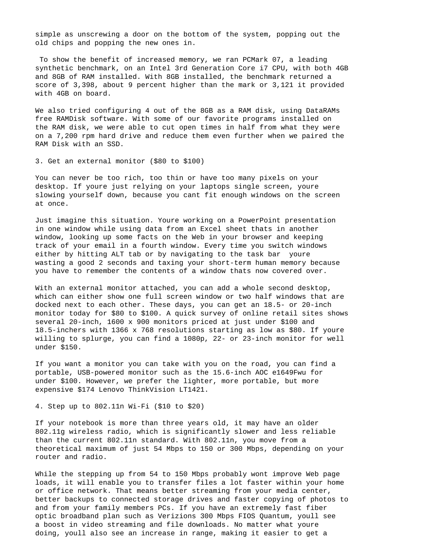simple as unscrewing a door on the bottom of the system, popping out the old chips and popping the new ones in.

 To show the benefit of increased memory, we ran PCMark 07, a leading synthetic benchmark, on an Intel 3rd Generation Core i7 CPU, with both 4GB and 8GB of RAM installed. With 8GB installed, the benchmark returned a score of 3,398, about 9 percent higher than the mark or 3,121 it provided with 4GB on board.

We also tried configuring 4 out of the 8GB as a RAM disk, using DataRAM s free RAMDisk software. With some of our favorite programs installed on the RAM disk, we were able to cut open times in half from what they were on a 7,200 rpm hard drive and reduce them even further when we paired the RAM Disk with an SSD.

3. Get an external monitor (\$80 to \$100)

You can never be too rich, too thin or have too many pixels on your desktop. If you re just relying on your laptop s single screen, you re slowing yourself down, because you cant fit enough windows on the screen at once.

Just imagine this situation. Youre working on a PowerPoint presentation in one window while using data from an Excel sheet that s in another window, looking up some facts on the Web in your browser and keeping track of your email in a fourth window. Every time you switch windows either by hitting ALT tab or by navigating to the task bar youre wasting a good 2 seconds and taxing your short-term human memory because you have to remember the contents of a window that s now covered over.

With an external monitor attached, you can add a whole second desktop, which can either show one full screen window or two half windows that are docked next to each other. These days, you can get an 18.5- or 20-inch monitor today for \$80 to \$100. A quick survey of online retail sites shows several 20-inch, 1600 x 900 monitors priced at just under \$100 and 18.5-inchers with 1366 x 768 resolutions starting as low as \$80. If youre willing to splurge, you can find a 1080p, 22- or 23-inch monitor for well under \$150.

If you want a monitor you can take with you on the road, you can find a portable, USB-powered monitor such as the 15.6-inch AOC e1649Fwu for under \$100. However, we prefer the lighter, more portable, but more expensive \$174 Lenovo ThinkVision LT1421.

4. Step up to 802.11n Wi-Fi (\$10 to \$20)

If your notebook is more than three years old, it may have an older 802.11g wireless radio, which is significantly slower and less reliable than the current 802.11n standard. With 802.11n, you move from a theoretical maximum of just 54 Mbps to 150 or 300 Mbps, depending on your router and radio.

While the stepping up from 54 to 150 Mbps probably won t improve Web page loads, it will enable you to transfer files a lot faster within your home or office network. That means better streaming from your media center, better backups to connected storage drives and faster copying of photos to and from your family members PCs. If you have an extremely fast fiber optic broadband plan such as Verizions 300 Mbps FIOS Quantum, youll see a boost in video streaming and file downloads. No matter what youre doing, youll also see an increase in range, making it easier to get a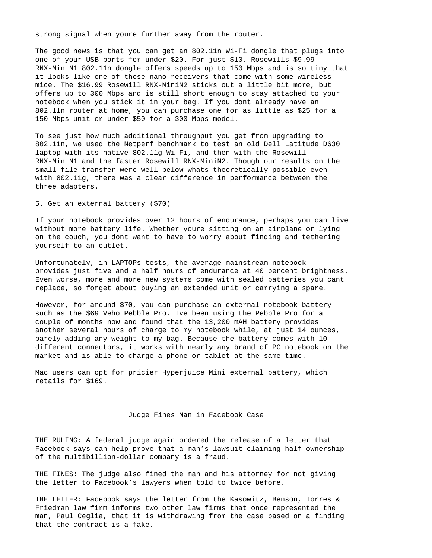strong signal when you re further away from the router.

The good news is that you can get an 802.11n Wi-Fi dongle that plugs into one of your USB ports for under \$20. For just \$10, Rosewills \$9.99 RNX-MiniN1 802.11n dongle offers speeds up to 150 Mbps and is so tiny that it looks like one of those nano receivers that come with some wireless mice. The \$16.99 Rosewill RNX-MiniN2 sticks out a little bit more, but offers up to 300 Mbps and is still short enough to stay attached to your notebook when you stick it in your bag. If you dont already have an 802.11n router at home, you can purchase one for as little as \$25 for a 150 Mbps unit or under \$50 for a 300 Mbps model.

To see just how much additional throughput you get from upgrading to 802.11n, we used the Netperf benchmark to test an old Dell Latitude D630 laptop with its native 802.11g Wi-Fi, and then with the Rosewill RNX-MiniN1 and the faster Rosewill RNX-MiniN2. Though our results on the small file transfer were well below what s theoretically possible even with 802.11g, there was a clear difference in performance between the three adapters.

# 5. Get an external battery (\$70)

If your notebook provides over 12 hours of endurance, perhaps you can live without more battery life. Whether youre sitting on an airplane or lying on the couch, you dont want to have to worry about finding and tethering yourself to an outlet.

Unfortunately, in LAPTOPs tests, the average mainstream notebook provides just five and a half hours of endurance at 40 percent brightness. Even worse, more and more new systems come with sealed batteries you cant replace, so forget about buying an extended unit or carrying a spare.

However, for around \$70, you can purchase an external notebook battery such as the \$69 Veho Pebble Pro. Ive been using the Pebble Pro for a couple of months now and found that the 13,200 mAH battery provides another several hours of charge to my notebook while, at just 14 ounces, barely adding any weight to my bag. Because the battery comes with 10 different connectors, it works with nearly any brand of PC notebook on the market and is able to charge a phone or tablet at the same time.

Mac users can opt for pricier Hyperjuice Mini external battery, which retails for \$169.

# Judge Fines Man in Facebook Case

THE RULING: A federal judge again ordered the release of a letter that Facebook says can help prove that a man's lawsuit claiming half ownership of the multibillion-dollar company is a fraud.

THE FINES: The judge also fined the man and his attorney for not giving the letter to Facebook's lawyers when told to twice before.

THE LETTER: Facebook says the letter from the Kasowitz, Benson, Torres & Friedman law firm informs two other law firms that once represented the man, Paul Ceglia, that it is withdrawing from the case based on a finding that the contract is a fake.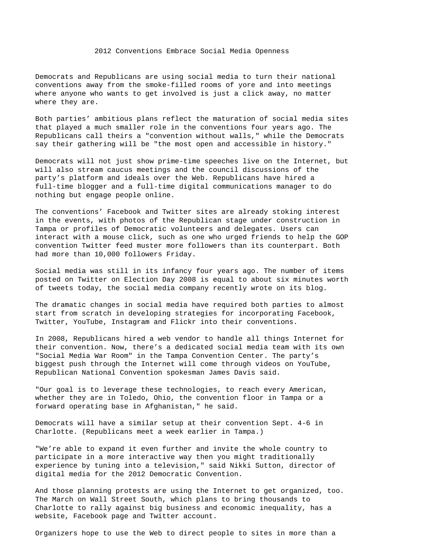#### 2012 Conventions Embrace Social Media Openness

Democrats and Republicans are using social media to turn their national conventions away from the smoke-filled rooms of yore and into meetings where anyone who wants to get involved is just a click away, no matter where they are.

Both parties' ambitious plans reflect the maturation of social media sites that played a much smaller role in the conventions four years ago. The Republicans call theirs a "convention without walls," while the Democrats say their gathering will be "the most open and accessible in history."

Democrats will not just show prime-time speeches live on the Internet, but will also stream caucus meetings and the council discussions of the party's platform and ideals over the Web. Republicans have hired a full-time blogger and a full-time digital communications manager to do nothing but engage people online.

The conventions' Facebook and Twitter sites are already stoking interest in the events, with photos of the Republican stage under construction in Tampa or profiles of Democratic volunteers and delegates. Users can interact with a mouse click, such as one who urged friends to help the GOP convention Twitter feed muster more followers than its counterpart. Both had more than 10,000 followers Friday.

Social media was still in its infancy four years ago. The number of items posted on Twitter on Election Day 2008 is equal to about six minutes worth of tweets today, the social media company recently wrote on its blog.

The dramatic changes in social media have required both parties to almost start from scratch in developing strategies for incorporating Facebook, Twitter, YouTube, Instagram and Flickr into their conventions.

In 2008, Republicans hired a web vendor to handle all things Internet for their convention. Now, there's a dedicated social media team with its own "Social Media War Room" in the Tampa Convention Center. The party's biggest push through the Internet will come through videos on YouTube, Republican National Convention spokesman James Davis said.

"Our goal is to leverage these technologies, to reach every American, whether they are in Toledo, Ohio, the convention floor in Tampa or a forward operating base in Afghanistan," he said.

Democrats will have a similar setup at their convention Sept. 4-6 in Charlotte. (Republicans meet a week earlier in Tampa.)

"We're able to expand it even further and invite the whole country to participate in a more interactive way then you might traditionally experience by tuning into a television," said Nikki Sutton, director of digital media for the 2012 Democratic Convention.

And those planning protests are using the Internet to get organized, too. The March on Wall Street South, which plans to bring thousands to Charlotte to rally against big business and economic inequality, has a website, Facebook page and Twitter account.

Organizers hope to use the Web to direct people to sites in more than a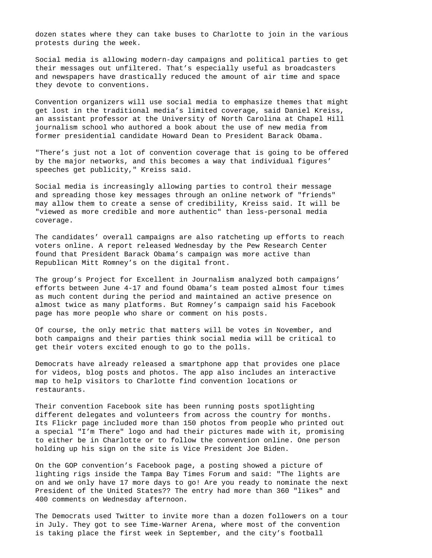dozen states where they can take buses to Charlotte to join in the various protests during the week.

Social media is allowing modern-day campaigns and political parties to get their messages out unfiltered. That's especially useful as broadcasters and newspapers have drastically reduced the amount of air time and space they devote to conventions.

Convention organizers will use social media to emphasize themes that might get lost in the traditional media's limited coverage, said Daniel Kreiss, an assistant professor at the University of North Carolina at Chapel Hill journalism school who authored a book about the use of new media from former presidential candidate Howard Dean to President Barack Obama.

"There's just not a lot of convention coverage that is going to be offered by the major networks, and this becomes a way that individual figures' speeches get publicity," Kreiss said.

Social media is increasingly allowing parties to control their message and spreading those key messages through an online network of "friends" may allow them to create a sense of credibility, Kreiss said. It will be "viewed as more credible and more authentic" than less-personal media coverage.

The candidates' overall campaigns are also ratcheting up efforts to reach voters online. A report released Wednesday by the Pew Research Center found that President Barack Obama's campaign was more active than Republican Mitt Romney's on the digital front.

The group's Project for Excellent in Journalism analyzed both campaigns' efforts between June 4-17 and found Obama's team posted almost four times as much content during the period and maintained an active presence on almost twice as many platforms. But Romney's campaign said his Facebook page has more people who share or comment on his posts.

Of course, the only metric that matters will be votes in November, and both campaigns and their parties think social media will be critical to get their voters excited enough to go to the polls.

Democrats have already released a smartphone app that provides one place for videos, blog posts and photos. The app also includes an interactive map to help visitors to Charlotte find convention locations or restaurants.

Their convention Facebook site has been running posts spotlighting different delegates and volunteers from across the country for months. Its Flickr page included more than 150 photos from people who printed out a special "I'm There" logo and had their pictures made with it, promising to either be in Charlotte or to follow the convention online. One person holding up his sign on the site is Vice President Joe Biden.

On the GOP convention's Facebook page, a posting showed a picture of lighting rigs inside the Tampa Bay Times Forum and said: "The lights are on and we only have 17 more days to go! Are you ready to nominate the next President of the United States?? The entry had more than 360 "likes" and 400 comments on Wednesday afternoon.

The Democrats used Twitter to invite more than a dozen followers on a tour in July. They got to see Time-Warner Arena, where most of the convention is taking place the first week in September, and the city's football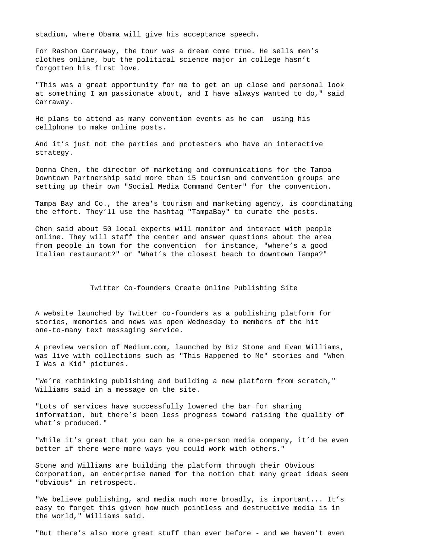stadium, where Obama will give his acceptance speech.

For Rashon Carraway, the tour was a dream come true. He sells men's clothes online, but the political science major in college hasn't forgotten his first love.

"This was a great opportunity for me to get an up close and personal look at something I am passionate about, and I have always wanted to do," said Carraway.

He plans to attend as many convention events as he can using his cellphone to make online posts.

And it's just not the parties and protesters who have an interactive strategy.

Donna Chen, the director of marketing and communications for the Tampa Downtown Partnership said more than 15 tourism and convention groups are setting up their own "Social Media Command Center" for the convention.

Tampa Bay and Co., the area's tourism and marketing agency, is coordinating the effort. They'll use the hashtag "TampaBay" to curate the posts.

Chen said about 50 local experts will monitor and interact with people online. They will staff the center and answer questions about the area from people in town for the convention for instance, "where's a good Italian restaurant?" or "What's the closest beach to downtown Tampa?"

Twitter Co-founders Create Online Publishing Site

A website launched by Twitter co-founders as a publishing platform for stories, memories and news was open Wednesday to members of the hit one-to-many text messaging service.

A preview version of Medium.com, launched by Biz Stone and Evan Williams, was live with collections such as "This Happened to Me" stories and "When I Was a Kid" pictures.

"We're rethinking publishing and building a new platform from scratch," Williams said in a message on the site.

"Lots of services have successfully lowered the bar for sharing information, but there's been less progress toward raising the quality of what's produced."

"While it's great that you can be a one-person media company, it'd be even better if there were more ways you could work with others."

Stone and Williams are building the platform through their Obvious Corporation, an enterprise named for the notion that many great ideas seem "obvious" in retrospect.

"We believe publishing, and media much more broadly, is important... It's easy to forget this given how much pointless and destructive media is in the world," Williams said.

"But there's also more great stuff than ever before - and we haven't even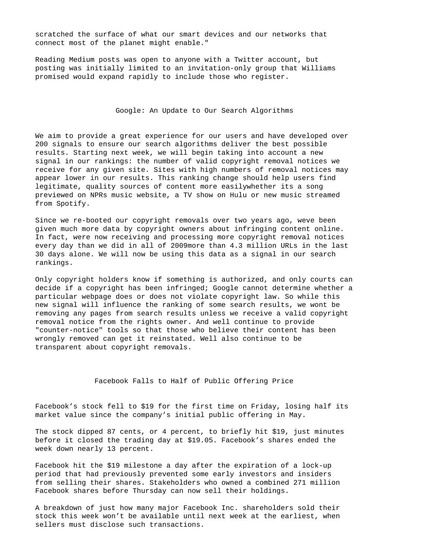scratched the surface of what our smart devices and our networks that connect most of the planet might enable."

Reading Medium posts was open to anyone with a Twitter account, but posting was initially limited to an invitation-only group that Williams promised would expand rapidly to include those who register.

## Google: An Update to Our Search Algorithms

We aim to provide a great experience for our users and have developed over 200 signals to ensure our search algorithms deliver the best possible results. Starting next week, we will begin taking into account a new signal in our rankings: the number of valid copyright removal notices we receive for any given site. Sites with high numbers of removal notices may appear lower in our results. This ranking change should help users find legitimate, quality sources of content more easily whether it s a song previewed on NPRs music website, a TV show on Hulu or new music streamed from Spotify.

Since we re-booted our copyright removals over two years ago, we ve been given much more data by copyright owners about infringing content online. In fact, we re now receiving and processing more copyright removal notices every day than we did in all of 2009more than 4.3 million URLs in the last 30 days alone. We will now be using this data as a signal in our search rankings.

Only copyright holders know if something is authorized, and only courts can decide if a copyright has been infringed; Google cannot determine whether a particular webpage does or does not violate copyright law. So while this new signal will influence the ranking of some search results, we wont be removing any pages from search results unless we receive a valid copyright removal notice from the rights owner. And well continue to provide "counter-notice" tools so that those who believe their content has been wrongly removed can get it reinstated. Well also continue to be transparent about copyright removals.

Facebook Falls to Half of Public Offering Price

Facebook's stock fell to \$19 for the first time on Friday, losing half its market value since the company's initial public offering in May.

The stock dipped 87 cents, or 4 percent, to briefly hit \$19, just minutes before it closed the trading day at \$19.05. Facebook's shares ended the week down nearly 13 percent.

Facebook hit the \$19 milestone a day after the expiration of a lock-up period that had previously prevented some early investors and insiders from selling their shares. Stakeholders who owned a combined 271 million Facebook shares before Thursday can now sell their holdings.

A breakdown of just how many major Facebook Inc. shareholders sold their stock this week won't be available until next week at the earliest, when sellers must disclose such transactions.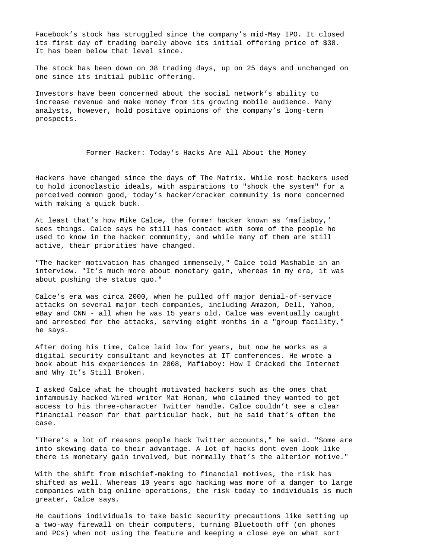Facebook's stock has struggled since the company's mid-May IPO. It closed its first day of trading barely above its initial offering price of \$38. It has been below that level since.

The stock has been down on 38 trading days, up on 25 days and unchanged on one since its initial public offering.

Investors have been concerned about the social network's ability to increase revenue and make money from its growing mobile audience. Many analysts, however, hold positive opinions of the company's long-term prospects.

Former Hacker: Today's Hacks Are All About the Money

Hackers have changed since the days of The Matrix. While most hackers used to hold iconoclastic ideals, with aspirations to "shock the system" for a perceived common good, today's hacker/cracker community is more concerned with making a quick buck.

At least that's how Mike Calce, the former hacker known as 'mafiaboy,' sees things. Calce says he still has contact with some of the people he used to know in the hacker community, and while many of them are still active, their priorities have changed.

"The hacker motivation has changed immensely," Calce told Mashable in an interview. "It's much more about monetary gain, whereas in my era, it was about pushing the status quo."

Calce's era was circa 2000, when he pulled off major denial-of-service attacks on several major tech companies, including Amazon, Dell, Yahoo, eBay and CNN - all when he was 15 years old. Calce was eventually caught and arrested for the attacks, serving eight months in a "group facility," he says.

After doing his time, Calce laid low for years, but now he works as a digital security consultant and keynotes at IT conferences. He wrote a book about his experiences in 2008, Mafiaboy: How I Cracked the Internet and Why It's Still Broken.

I asked Calce what he thought motivated hackers such as the ones that infamously hacked Wired writer Mat Honan, who claimed they wanted to get access to his three-character Twitter handle. Calce couldn't see a clear financial reason for that particular hack, but he said that's often the case.

"There's a lot of reasons people hack Twitter accounts," he said. "Some are into skewing data to their advantage. A lot of hacks dont even look like there is monetary gain involved, but normally that's the alterior motive."

With the shift from mischief-making to financial motives, the risk has shifted as well. Whereas 10 years ago hacking was more of a danger to large companies with big online operations, the risk today to individuals is much greater, Calce says.

He cautions individuals to take basic security precautions like setting up a two-way firewall on their computers, turning Bluetooth off (on phones and PCs) when not using the feature and keeping a close eye on what sort